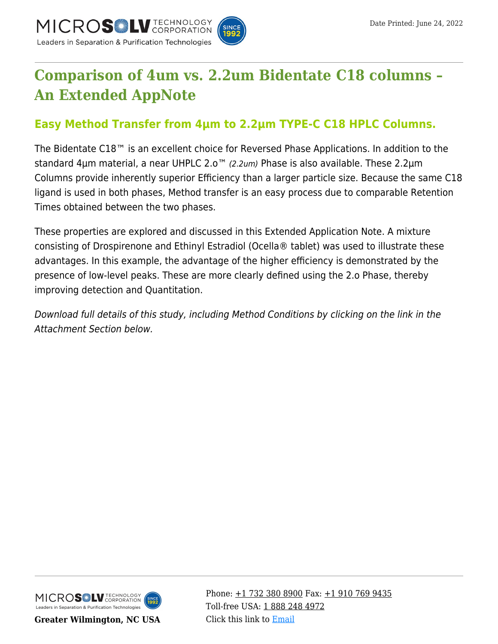



## **[Comparison of 4um vs. 2.2um Bidentate C18 columns –](https://kb.mtc-usa.com/article/aa-02646/46/) [An Extended AppNote](https://kb.mtc-usa.com/article/aa-02646/46/)**

## **Easy Method Transfer from 4µm to 2.2µm TYPE-C C18 HPLC Columns.**

The Bidentate C18™ is an excellent choice for Reversed Phase Applications. In addition to the standard 4µm material, a near UHPLC 2.0<sup>™</sup> (2.2um) Phase is also available. These 2.2µm Columns provide inherently superior Efficiency than a larger particle size. Because the same C18 ligand is used in both phases, Method transfer is an easy process due to comparable Retention Times obtained between the two phases.

These properties are explored and discussed in this Extended Application Note. A mixture consisting of Drospirenone and Ethinyl Estradiol (Ocella® tablet) was used to illustrate these advantages. In this example, the advantage of the higher efficiency is demonstrated by the presence of low-level peaks. These are more clearly defined using the 2.o Phase, thereby improving detection and Quantitation.

Download full details of this study, including Method Conditions by clicking on the link in the Attachment Section below.



**Greater Wilmington, NC USA**

Phone:  $\pm$ 1 732 380 8900 Fax:  $\pm$ 1 910 769 9435 Toll-free USA: [1 888 248 4972](#page--1-0) Click this link to [Email](https://www.mtc-usa.com/contact)